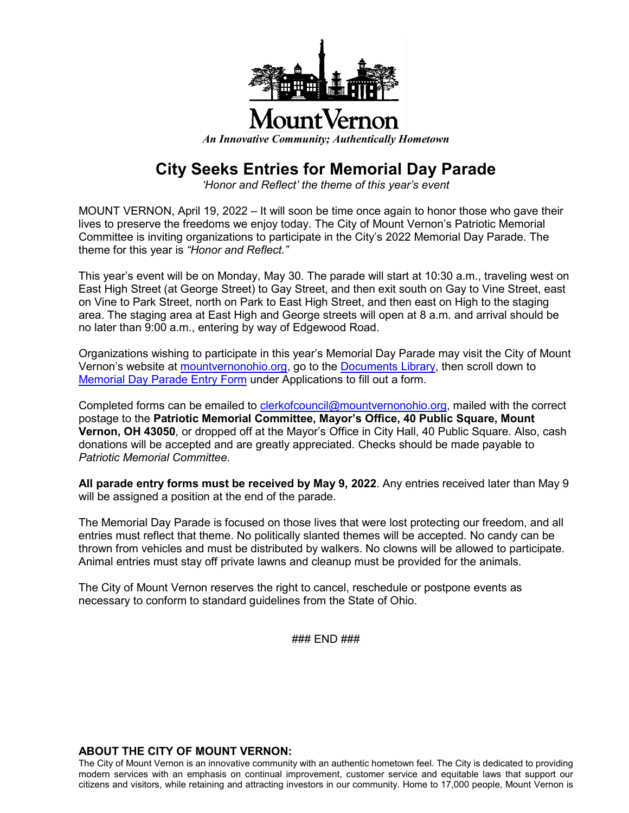

*An Innovative Community; Authentically Hometown*

## **City Seeks Entries for Memorial Day Parade**

*'Honor and Reflect' the theme of this year's event*

MOUNT VERNON, April 19, 2022 – It will soon be time once again to honor those who gave their lives to preserve the freedoms we enjoy today. The City of Mount Vernon's Patriotic Memorial Committee is inviting organizations to participate in the City's 2022 Memorial Day Parade. The theme for this year is *"Honor and Reflect."*

This year's event will be on Monday, May 30. The parade will start at 10:30 a.m., traveling west on East High Street (at George Street) to Gay Street, and then exit south on Gay to Vine Street, east on Vine to Park Street, north on Park to East High Street, and then east on High to the staging area. The staging area at East High and George streets will open at 8 a.m. and arrival should be no later than 9:00 a.m., entering by way of Edgewood Road.

Organizations wishing to participate in this year's Memorial Day Parade may visit the City of Mount Vernon's website at mountvernonohio.org, go to the [Documents Library,](https://mountvernonohio.org/documents-library/) then scroll down to [Memorial Day Parade Entry Form](https://mountvernonohio.org/wp-content/uploads/2022/04/2022EntryFormMemParade.pdf) under Applications to fill out a form.

Completed forms can be emailed to [clerkofcouncil@mountvernonohio.org,](mailto:clerkofcouncil@mountvernonohio.org) mailed with the correct postage to the **Patriotic Memorial Committee, Mayor's Office, 40 Public Square, Mount Vernon, OH 43050**, or dropped off at the Mayor's Office in City Hall, 40 Public Square. Also, cash donations will be accepted and are greatly appreciated. Checks should be made payable to *Patriotic Memorial Committee*.

**All parade entry forms must be received by May 9, 2022**. Any entries received later than May 9 will be assigned a position at the end of the parade.

The Memorial Day Parade is focused on those lives that were lost protecting our freedom, and all entries must reflect that theme. No politically slanted themes will be accepted. No candy can be thrown from vehicles and must be distributed by walkers. No clowns will be allowed to participate. Animal entries must stay off private lawns and cleanup must be provided for the animals.

The City of Mount Vernon reserves the right to cancel, reschedule or postpone events as necessary to conform to standard guidelines from the State of Ohio.

### END ###

## **ABOUT THE CITY OF MOUNT VERNON:**

The City of Mount Vernon is an innovative community with an authentic hometown feel. The City is dedicated to providing modern services with an emphasis on continual improvement, customer service and equitable laws that support our citizens and visitors, while retaining and attracting investors in our community. Home to 17,000 people, Mount Vernon is